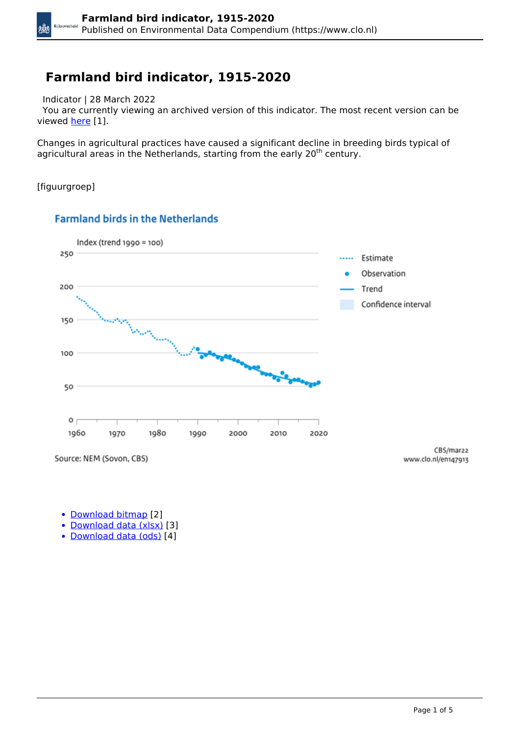## **Farmland bird indicator, 1915-2020**

Indicator | 28 March 2022

 You are currently viewing an archived version of this indicator. The most recent version can be viewed [here](https://www.clo.nl/en/indicatoren/en1479) [1].

Changes in agricultural practices have caused a significant decline in breeding birds typical of agricultural areas in the Netherlands, starting from the early 20<sup>th</sup> century.

[figuurgroep]

kÖX



#### **Farmland birds in the Netherlands**

Source: NEM (Sovon, CBS)

CBS/mar22 www.clo.nl/en147913

- [Download bitmap](https://www.clo.nl/sites/default/files/infographics/1479_002g_clo_13_en.png) [2]
- [Download data \(xlsx\)](https://www.clo.nl/sites/default/files/datasets/c-1479-002g-clo-13-en.xlsx) [3]
- [Download data \(ods\)](https://www.clo.nl/sites/default/files/datasets/c-1479-002g-clo-13-en.ods) [4]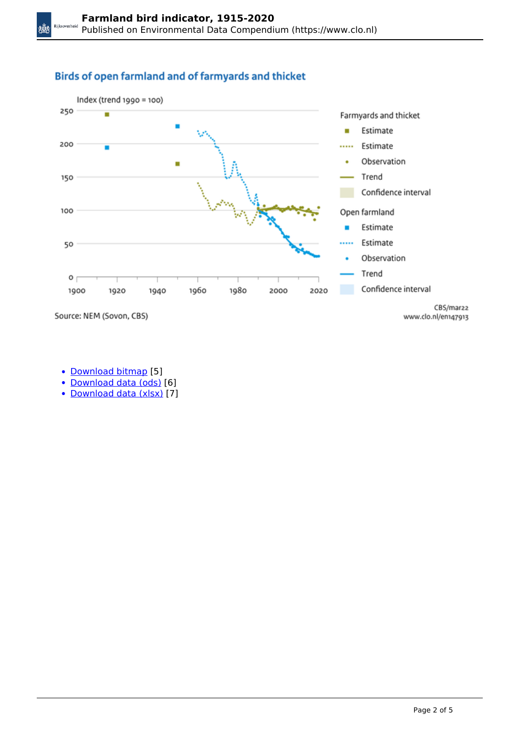#### Birds of open farmland and of farmyards and thicket



Source: NEM (Sovon, CBS)

XůX

- [Download bitmap](https://www.clo.nl/sites/default/files/infographics/1479_005g_clo_13_en.png) [5]
- [Download data \(ods\)](https://www.clo.nl/sites/default/files/datasets/c-1479-005g-clo-13-en.ods) [6]
- [Download data \(xlsx\)](https://www.clo.nl/sites/default/files/datasets/c-1479-005g-clo-13-en.xlsx) [7]

www.clo.nl/en147913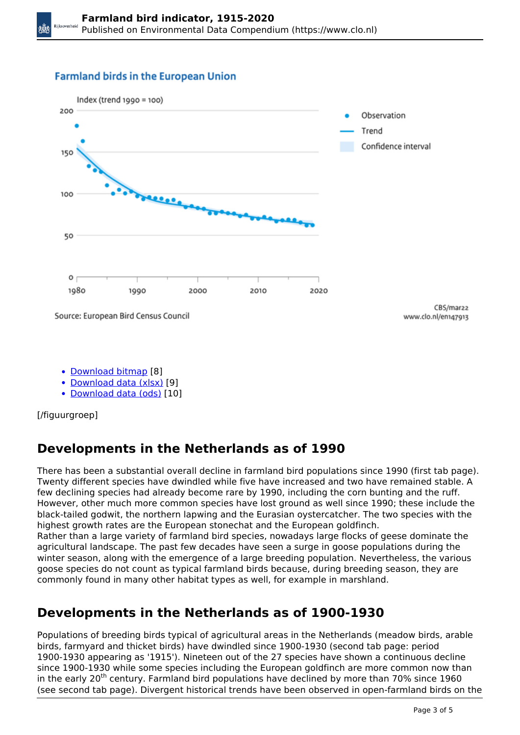#### **Farmland birds in the European Union**



- [Download bitmap](https://www.clo.nl/sites/default/files/infographics/1479_004g_clo_13_en.png) [8]
- [Download data \(xlsx\)](https://www.clo.nl/sites/default/files/datasets/c-1479-004g-clo-13-en.xlsx) [9]
- [Download data \(ods\)](https://www.clo.nl/sites/default/files/datasets/c-1479-004g-clo-13-en.ods) [10]

[/figuurgroep]

# **Developments in the Netherlands as of 1990**

There has been a substantial overall decline in farmland bird populations since 1990 (first tab page). Twenty different species have dwindled while five have increased and two have remained stable. A few declining species had already become rare by 1990, including the corn bunting and the ruff. However, other much more common species have lost ground as well since 1990; these include the black-tailed godwit, the northern lapwing and the Eurasian oystercatcher. The two species with the highest growth rates are the European stonechat and the European goldfinch.

Rather than a large variety of farmland bird species, nowadays large flocks of geese dominate the agricultural landscape. The past few decades have seen a surge in goose populations during the winter season, along with the emergence of a large breeding population. Nevertheless, the various goose species do not count as typical farmland birds because, during breeding season, they are commonly found in many other habitat types as well, for example in marshland.

# **Developments in the Netherlands as of 1900-1930**

Populations of breeding birds typical of agricultural areas in the Netherlands (meadow birds, arable birds, farmyard and thicket birds) have dwindled since 1900-1930 (second tab page: period 1900-1930 appearing as '1915'). Nineteen out of the 27 species have shown a continuous decline since 1900-1930 while some species including the European goldfinch are more common now than in the early 20<sup>th</sup> century. Farmland bird populations have declined by more than 70% since 1960 (see second tab page). Divergent historical trends have been observed in open-farmland birds on the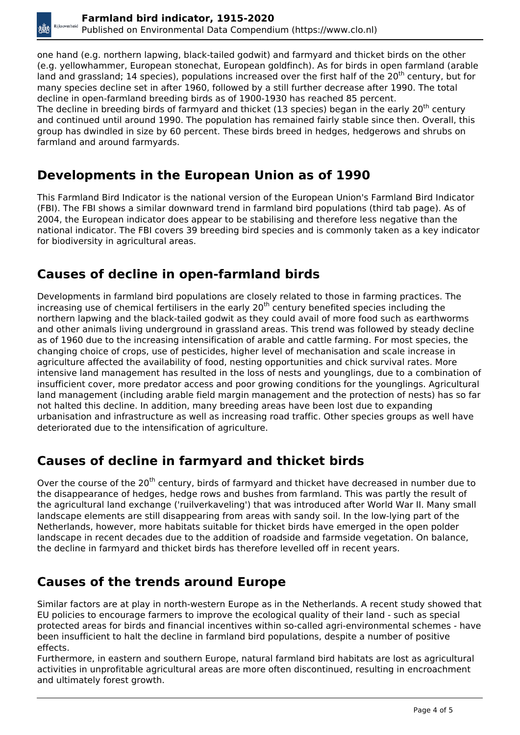one hand (e.g. northern lapwing, black-tailed godwit) and farmyard and thicket birds on the other (e.g. yellowhammer, European stonechat, European goldfinch). As for birds in open farmland (arable land and grassland; 14 species), populations increased over the first half of the 20<sup>th</sup> century, but for many species decline set in after 1960, followed by a still further decrease after 1990. The total decline in open-farmland breeding birds as of 1900-1930 has reached 85 percent. The decline in breeding birds of farmyard and thicket (13 species) began in the early 20<sup>th</sup> century and continued until around 1990. The population has remained fairly stable since then. Overall, this group has dwindled in size by 60 percent. These birds breed in hedges, hedgerows and shrubs on farmland and around farmyards.

#### **Developments in the European Union as of 1990**

This Farmland Bird Indicator is the national version of the European Union's Farmland Bird Indicator (FBI). The FBI shows a similar downward trend in farmland bird populations (third tab page). As of 2004, the European indicator does appear to be stabilising and therefore less negative than the national indicator. The FBI covers 39 breeding bird species and is commonly taken as a key indicator for biodiversity in agricultural areas.

## **Causes of decline in open-farmland birds**

Developments in farmland bird populations are closely related to those in farming practices. The increasing use of chemical fertilisers in the early 20<sup>th</sup> century benefited species including the northern lapwing and the black-tailed godwit as they could avail of more food such as earthworms and other animals living underground in grassland areas. This trend was followed by steady decline as of 1960 due to the increasing intensification of arable and cattle farming. For most species, the changing choice of crops, use of pesticides, higher level of mechanisation and scale increase in agriculture affected the availability of food, nesting opportunities and chick survival rates. More intensive land management has resulted in the loss of nests and younglings, due to a combination of insufficient cover, more predator access and poor growing conditions for the younglings. Agricultural land management (including arable field margin management and the protection of nests) has so far not halted this decline. In addition, many breeding areas have been lost due to expanding urbanisation and infrastructure as well as increasing road traffic. Other species groups as well have deteriorated due to the intensification of agriculture.

#### **Causes of decline in farmyard and thicket birds**

Over the course of the 20<sup>th</sup> century, birds of farmyard and thicket have decreased in number due to the disappearance of hedges, hedge rows and bushes from farmland. This was partly the result of the agricultural land exchange ('ruilverkaveling') that was introduced after World War II. Many small landscape elements are still disappearing from areas with sandy soil. In the low-lying part of the Netherlands, however, more habitats suitable for thicket birds have emerged in the open polder landscape in recent decades due to the addition of roadside and farmside vegetation. On balance, the decline in farmyard and thicket birds has therefore levelled off in recent years.

## **Causes of the trends around Europe**

Similar factors are at play in north-western Europe as in the Netherlands. A recent study showed that EU policies to encourage farmers to improve the ecological quality of their land - such as special protected areas for birds and financial incentives within so-called agri-environmental schemes - have been insufficient to halt the decline in farmland bird populations, despite a number of positive effects.

Furthermore, in eastern and southern Europe, natural farmland bird habitats are lost as agricultural activities in unprofitable agricultural areas are more often discontinued, resulting in encroachment and ultimately forest growth.